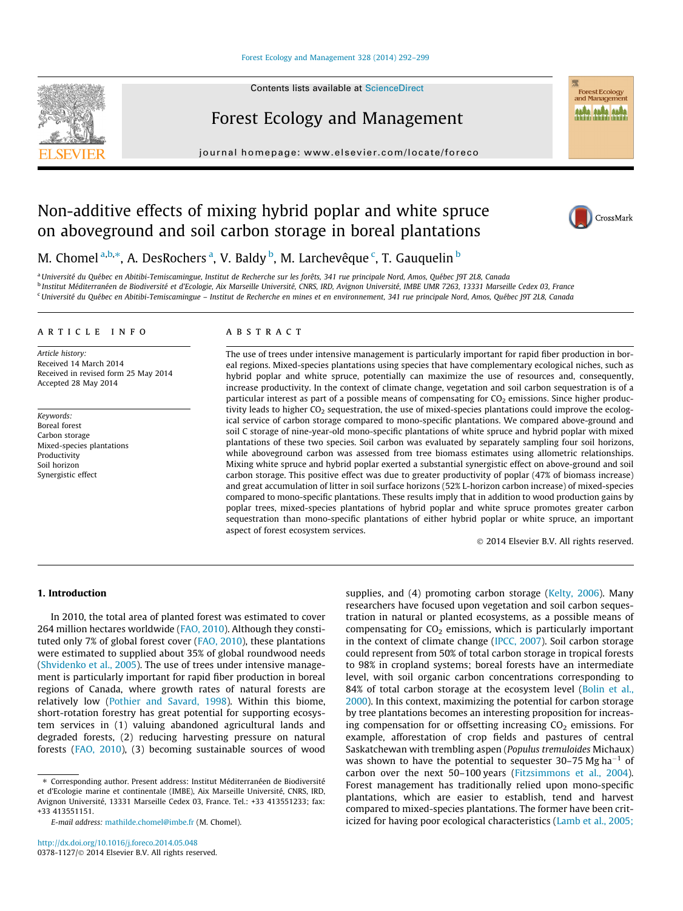#### [Forest Ecology and Management 328 \(2014\) 292–299](http://dx.doi.org/10.1016/j.foreco.2014.05.048)





Forest Ecology and Management

journal homepage: [www.elsevier.com/locate/foreco](http://www.elsevier.com/locate/foreco)

# Non-additive effects of mixing hybrid poplar and white spruce on aboveground and soil carbon storage in boreal plantations



Forest Ecology and Managem

M. Chomel <sup>a,b,</sup>\*, A. DesRochers <sup>a</sup>, V. Baldy <sup>b</sup>, M. Larchevêque <sup>c</sup>, T. Gauquelin <sup>b</sup>

<sup>a</sup> Université du Québec en Abitibi-Temiscamingue, Institut de Recherche sur les forêts, 341 rue principale Nord, Amos, Québec J9T 2L8, Canada <sup>b</sup> Institut Méditerranéen de Biodiversité et d'Ecologie, Aix Marseille Université, CNRS, IRD, Avignon Université, IMBE UMR 7263, 13331 Marseille Cedex 03, France <sup>c</sup>Université du Québec en Abitibi-Temiscamingue – Institut de Recherche en mines et en environnement, 341 rue principale Nord, Amos, Québec J9T 2L8, Canada

## article info

Article history: Received 14 March 2014 Received in revised form 25 May 2014 Accepted 28 May 2014

Keywords: Boreal forest Carbon storage Mixed-species plantations Productivity Soil horizon Synergistic effect

## ABSTRACT

The use of trees under intensive management is particularly important for rapid fiber production in boreal regions. Mixed-species plantations using species that have complementary ecological niches, such as hybrid poplar and white spruce, potentially can maximize the use of resources and, consequently, increase productivity. In the context of climate change, vegetation and soil carbon sequestration is of a particular interest as part of a possible means of compensating for  $CO<sub>2</sub>$  emissions. Since higher productivity leads to higher  $CO<sub>2</sub>$  sequestration, the use of mixed-species plantations could improve the ecological service of carbon storage compared to mono-specific plantations. We compared above-ground and soil C storage of nine-year-old mono-specific plantations of white spruce and hybrid poplar with mixed plantations of these two species. Soil carbon was evaluated by separately sampling four soil horizons, while aboveground carbon was assessed from tree biomass estimates using allometric relationships. Mixing white spruce and hybrid poplar exerted a substantial synergistic effect on above-ground and soil carbon storage. This positive effect was due to greater productivity of poplar (47% of biomass increase) and great accumulation of litter in soil surface horizons (52% L-horizon carbon increase) of mixed-species compared to mono-specific plantations. These results imply that in addition to wood production gains by poplar trees, mixed-species plantations of hybrid poplar and white spruce promotes greater carbon sequestration than mono-specific plantations of either hybrid poplar or white spruce, an important aspect of forest ecosystem services.

- 2014 Elsevier B.V. All rights reserved.

## 1. Introduction

In 2010, the total area of planted forest was estimated to cover 264 million hectares worldwide [\(FAO, 2010](#page-6-0)). Although they constituted only 7% of global forest cover [\(FAO, 2010](#page-6-0)), these plantations were estimated to supplied about 35% of global roundwood needs ([Shvidenko et al., 2005](#page-7-0)). The use of trees under intensive management is particularly important for rapid fiber production in boreal regions of Canada, where growth rates of natural forests are relatively low [\(Pothier and Savard, 1998\)](#page-7-0). Within this biome, short-rotation forestry has great potential for supporting ecosystem services in (1) valuing abandoned agricultural lands and degraded forests, (2) reducing harvesting pressure on natural forests [\(FAO, 2010\)](#page-6-0), (3) becoming sustainable sources of wood

E-mail address: [mathilde.chomel@imbe.fr](mailto:mathilde.chomel@imbe.fr) (M. Chomel).

supplies, and (4) promoting carbon storage ([Kelty, 2006\)](#page-6-0). Many researchers have focused upon vegetation and soil carbon sequestration in natural or planted ecosystems, as a possible means of compensating for  $CO<sub>2</sub>$  emissions, which is particularly important in the context of climate change ([IPCC, 2007](#page-6-0)). Soil carbon storage could represent from 50% of total carbon storage in tropical forests to 98% in cropland systems; boreal forests have an intermediate level, with soil organic carbon concentrations corresponding to 84% of total carbon storage at the ecosystem level [\(Bolin et al.,](#page-6-0) [2000](#page-6-0)). In this context, maximizing the potential for carbon storage by tree plantations becomes an interesting proposition for increasing compensation for or offsetting increasing  $CO<sub>2</sub>$  emissions. For example, afforestation of crop fields and pastures of central Saskatchewan with trembling aspen (Populus tremuloides Michaux) was shown to have the potential to sequester 30-75 Mg ha<sup>-1</sup> of carbon over the next 50–100 years [\(Fitzsimmons et al., 2004\)](#page-6-0). Forest management has traditionally relied upon mono-specific plantations, which are easier to establish, tend and harvest compared to mixed-species plantations. The former have been criticized for having poor ecological characteristics ([Lamb et al., 2005;](#page-7-0)

<sup>⇑</sup> Corresponding author. Present address: Institut Méditerranéen de Biodiversité et d'Ecologie marine et continentale (IMBE), Aix Marseille Université, CNRS, IRD, Avignon Université, 13331 Marseille Cedex 03, France. Tel.: +33 413551233; fax: +33 413551151.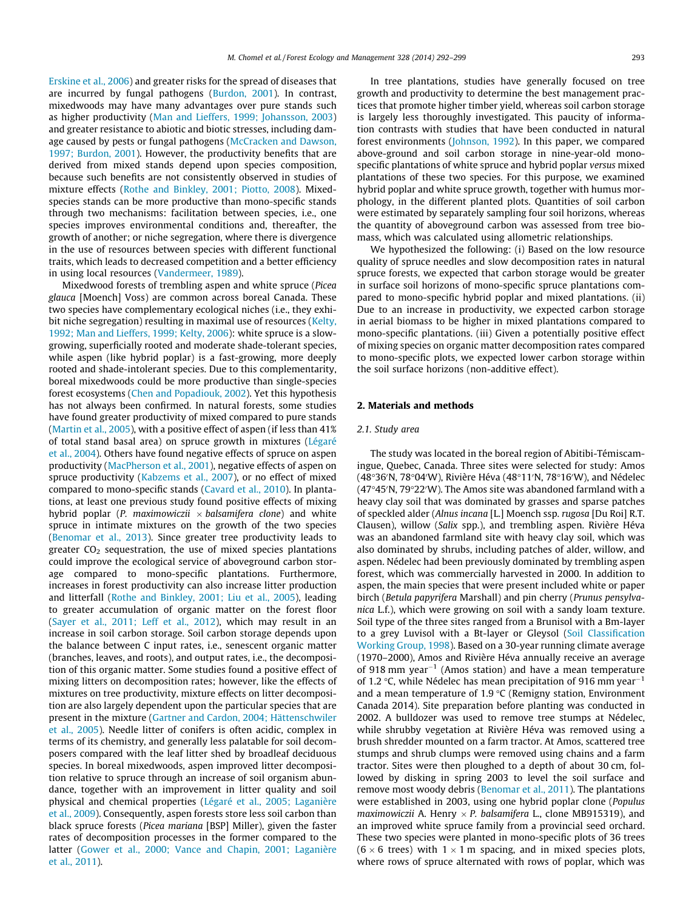[Erskine et al., 2006\)](#page-7-0) and greater risks for the spread of diseases that are incurred by fungal pathogens ([Burdon, 2001\)](#page-6-0). In contrast, mixedwoods may have many advantages over pure stands such as higher productivity ([Man and Lieffers, 1999; Johansson, 2003\)](#page-7-0) and greater resistance to abiotic and biotic stresses, including damage caused by pests or fungal pathogens ([McCracken and Dawson,](#page-7-0) [1997; Burdon, 2001\)](#page-7-0). However, the productivity benefits that are derived from mixed stands depend upon species composition, because such benefits are not consistently observed in studies of mixture effects ([Rothe and Binkley, 2001; Piotto, 2008\)](#page-7-0). Mixedspecies stands can be more productive than mono-specific stands through two mechanisms: facilitation between species, i.e., one species improves environmental conditions and, thereafter, the growth of another; or niche segregation, where there is divergence in the use of resources between species with different functional traits, which leads to decreased competition and a better efficiency in using local resources ([Vandermeer, 1989\)](#page-7-0).

Mixedwood forests of trembling aspen and white spruce (Picea glauca [Moench] Voss) are common across boreal Canada. These two species have complementary ecological niches (i.e., they exhi-bit niche segregation) resulting in maximal use of resources [\(Kelty,](#page-6-0) [1992; Man and Lieffers, 1999; Kelty, 2006](#page-6-0)): white spruce is a slowgrowing, superficially rooted and moderate shade-tolerant species, while aspen (like hybrid poplar) is a fast-growing, more deeply rooted and shade-intolerant species. Due to this complementarity, boreal mixedwoods could be more productive than single-species forest ecosystems ([Chen and Popadiouk, 2002\)](#page-6-0). Yet this hypothesis has not always been confirmed. In natural forests, some studies have found greater productivity of mixed compared to pure stands ([Martin et al., 2005\)](#page-7-0), with a positive effect of aspen (if less than 41% of total stand basal area) on spruce growth in mixtures [\(Légaré](#page-7-0) [et al., 2004\)](#page-7-0). Others have found negative effects of spruce on aspen productivity [\(MacPherson et al., 2001](#page-7-0)), negative effects of aspen on spruce productivity [\(Kabzems et al., 2007](#page-6-0)), or no effect of mixed compared to mono-specific stands ([Cavard et al., 2010\)](#page-6-0). In plantations, at least one previous study found positive effects of mixing hybrid poplar (P. maximowiczii  $\times$  balsamifera clone) and white spruce in intimate mixtures on the growth of the two species ([Benomar et al., 2013\)](#page-6-0). Since greater tree productivity leads to greater  $CO<sub>2</sub>$  sequestration, the use of mixed species plantations could improve the ecological service of aboveground carbon storage compared to mono-specific plantations. Furthermore, increases in forest productivity can also increase litter production and litterfall [\(Rothe and Binkley, 2001; Liu et al., 2005\)](#page-7-0), leading to greater accumulation of organic matter on the forest floor ([Sayer et al., 2011; Leff et al., 2012](#page-7-0)), which may result in an increase in soil carbon storage. Soil carbon storage depends upon the balance between C input rates, i.e., senescent organic matter (branches, leaves, and roots), and output rates, i.e., the decomposition of this organic matter. Some studies found a positive effect of mixing litters on decomposition rates; however, like the effects of mixtures on tree productivity, mixture effects on litter decomposition are also largely dependent upon the particular species that are present in the mixture [\(Gartner and Cardon, 2004; Hättenschwiler](#page-6-0) [et al., 2005](#page-6-0)). Needle litter of conifers is often acidic, complex in terms of its chemistry, and generally less palatable for soil decomposers compared with the leaf litter shed by broadleaf deciduous species. In boreal mixedwoods, aspen improved litter decomposition relative to spruce through an increase of soil organism abundance, together with an improvement in litter quality and soil physical and chemical properties [\(Légaré et al., 2005; Laganière](#page-7-0) [et al., 2009](#page-7-0)). Consequently, aspen forests store less soil carbon than black spruce forests (Picea mariana [BSP] Miller), given the faster rates of decomposition processes in the former compared to the latter [\(Gower et al., 2000; Vance and Chapin, 2001; Laganière](#page-6-0) [et al., 2011\)](#page-6-0).

In tree plantations, studies have generally focused on tree growth and productivity to determine the best management practices that promote higher timber yield, whereas soil carbon storage is largely less thoroughly investigated. This paucity of information contrasts with studies that have been conducted in natural forest environments ([Johnson, 1992\)](#page-6-0). In this paper, we compared above-ground and soil carbon storage in nine-year-old monospecific plantations of white spruce and hybrid poplar versus mixed plantations of these two species. For this purpose, we examined hybrid poplar and white spruce growth, together with humus morphology, in the different planted plots. Quantities of soil carbon were estimated by separately sampling four soil horizons, whereas the quantity of aboveground carbon was assessed from tree biomass, which was calculated using allometric relationships.

We hypothesized the following: (i) Based on the low resource quality of spruce needles and slow decomposition rates in natural spruce forests, we expected that carbon storage would be greater in surface soil horizons of mono-specific spruce plantations compared to mono-specific hybrid poplar and mixed plantations. (ii) Due to an increase in productivity, we expected carbon storage in aerial biomass to be higher in mixed plantations compared to mono-specific plantations. (iii) Given a potentially positive effect of mixing species on organic matter decomposition rates compared to mono-specific plots, we expected lower carbon storage within the soil surface horizons (non-additive effect).

## 2. Materials and methods

#### 2.1. Study area

The study was located in the boreal region of Abitibi-Témiscamingue, Quebec, Canada. Three sites were selected for study: Amos (48°36'N, 78°04'W), Rivière Héva (48°11'N, 78°16'W), and Nédelec (47°45'N, 79°22'W). The Amos site was abandoned farmland with a heavy clay soil that was dominated by grasses and sparse patches of speckled alder (Alnus incana [L.] Moench ssp. rugosa [Du Roi] R.T. Clausen), willow (Salix spp.), and trembling aspen. Rivière Héva was an abandoned farmland site with heavy clay soil, which was also dominated by shrubs, including patches of alder, willow, and aspen. Nédelec had been previously dominated by trembling aspen forest, which was commercially harvested in 2000. In addition to aspen, the main species that were present included white or paper birch (Betula papyrifera Marshall) and pin cherry (Prunus pensylvanica L.f.), which were growing on soil with a sandy loam texture. Soil type of the three sites ranged from a Brunisol with a Bm-layer to a grey Luvisol with a Bt-layer or Gleysol ([Soil Classification](#page-7-0) [Working Group, 1998](#page-7-0)). Based on a 30-year running climate average (1970–2000), Amos and Rivière Héva annually receive an average of 918 mm year $^{-1}$  (Amos station) and have a mean temperature of 1.2  $\degree$ C, while Nédelec has mean precipitation of 916 mm year $^{-1}$ and a mean temperature of  $1.9 \text{ }^{\circ}$ C (Remigny station, Environment Canada 2014). Site preparation before planting was conducted in 2002. A bulldozer was used to remove tree stumps at Nédelec, while shrubby vegetation at Rivière Héva was removed using a brush shredder mounted on a farm tractor. At Amos, scattered tree stumps and shrub clumps were removed using chains and a farm tractor. Sites were then ploughed to a depth of about 30 cm, followed by disking in spring 2003 to level the soil surface and remove most woody debris ([Benomar et al., 2011\)](#page-6-0). The plantations were established in 2003, using one hybrid poplar clone (Populus maximowiczii A. Henry  $\times$  P. balsamifera L., clone MB915319), and an improved white spruce family from a provincial seed orchard. These two species were planted in mono-specific plots of 36 trees  $(6 \times 6$  trees) with  $1 \times 1$  m spacing, and in mixed species plots, where rows of spruce alternated with rows of poplar, which was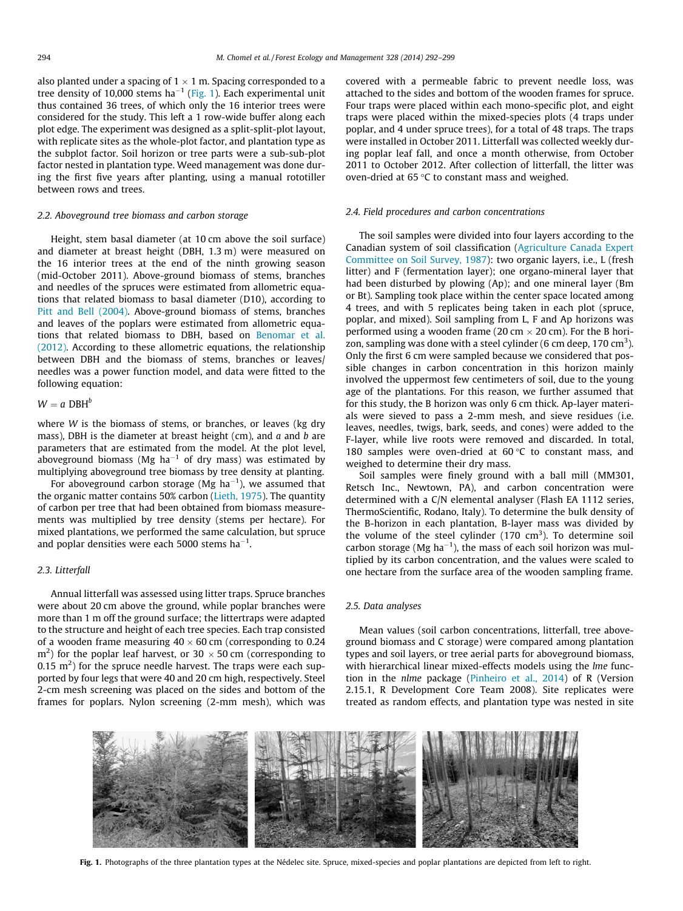also planted under a spacing of  $1 \times 1$  m. Spacing corresponded to a tree density of 10,000 stems ha $^{-1}$  (Fig. 1). Each experimental unit thus contained 36 trees, of which only the 16 interior trees were considered for the study. This left a 1 row-wide buffer along each plot edge. The experiment was designed as a split-split-plot layout, with replicate sites as the whole-plot factor, and plantation type as the subplot factor. Soil horizon or tree parts were a sub-sub-plot factor nested in plantation type. Weed management was done during the first five years after planting, using a manual rototiller between rows and trees.

### 2.2. Aboveground tree biomass and carbon storage

Height, stem basal diameter (at 10 cm above the soil surface) and diameter at breast height (DBH, 1.3 m) were measured on the 16 interior trees at the end of the ninth growing season (mid-October 2011). Above-ground biomass of stems, branches and needles of the spruces were estimated from allometric equations that related biomass to basal diameter (D10), according to [Pitt and Bell \(2004\)](#page-7-0). Above-ground biomass of stems, branches and leaves of the poplars were estimated from allometric equations that related biomass to DBH, based on [Benomar et al.](#page-6-0) [\(2012\).](#page-6-0) According to these allometric equations, the relationship between DBH and the biomass of stems, branches or leaves/ needles was a power function model, and data were fitted to the following equation:

## $W = a DBH^b$

where *W* is the biomass of stems, or branches, or leaves (kg dry mass), DBH is the diameter at breast height (cm), and  $a$  and  $b$  are parameters that are estimated from the model. At the plot level, aboveground biomass (Mg ha $^{-1}$  of dry mass) was estimated by multiplying aboveground tree biomass by tree density at planting.

For aboveground carbon storage (Mg  $ha^{-1}$ ), we assumed that the organic matter contains 50% carbon ([Lieth, 1975\)](#page-7-0). The quantity of carbon per tree that had been obtained from biomass measurements was multiplied by tree density (stems per hectare). For mixed plantations, we performed the same calculation, but spruce and poplar densities were each 5000 stems ha $^{\rm -1}.$ 

## 2.3. Litterfall

Annual litterfall was assessed using litter traps. Spruce branches were about 20 cm above the ground, while poplar branches were more than 1 m off the ground surface; the littertraps were adapted to the structure and height of each tree species. Each trap consisted of a wooden frame measuring  $40 \times 60$  cm (corresponding to 0.24  $\text{m}^2$ ) for the poplar leaf harvest, or 30  $\times$  50 cm (corresponding to 0.15  $\mathrm{m}^2$ ) for the spruce needle harvest. The traps were each supported by four legs that were 40 and 20 cm high, respectively. Steel 2-cm mesh screening was placed on the sides and bottom of the frames for poplars. Nylon screening (2-mm mesh), which was

covered with a permeable fabric to prevent needle loss, was attached to the sides and bottom of the wooden frames for spruce. Four traps were placed within each mono-specific plot, and eight traps were placed within the mixed-species plots (4 traps under poplar, and 4 under spruce trees), for a total of 48 traps. The traps were installed in October 2011. Litterfall was collected weekly during poplar leaf fall, and once a month otherwise, from October 2011 to October 2012. After collection of litterfall, the litter was oven-dried at  $65^{\circ}$ C to constant mass and weighed.

## 2.4. Field procedures and carbon concentrations

The soil samples were divided into four layers according to the Canadian system of soil classification ([Agriculture Canada Expert](#page-6-0) [Committee on Soil Survey, 1987\)](#page-6-0): two organic layers, i.e., L (fresh litter) and F (fermentation layer); one organo-mineral layer that had been disturbed by plowing (Ap); and one mineral layer (Bm or Bt). Sampling took place within the center space located among 4 trees, and with 5 replicates being taken in each plot (spruce, poplar, and mixed). Soil sampling from L, F and Ap horizons was performed using a wooden frame (20 cm  $\times$  20 cm). For the B horizon, sampling was done with a steel cylinder (6 cm deep, 170  $\text{cm}^3$ ). Only the first 6 cm were sampled because we considered that possible changes in carbon concentration in this horizon mainly involved the uppermost few centimeters of soil, due to the young age of the plantations. For this reason, we further assumed that for this study, the B horizon was only 6 cm thick. Ap-layer materials were sieved to pass a 2-mm mesh, and sieve residues (i.e. leaves, needles, twigs, bark, seeds, and cones) were added to the F-layer, while live roots were removed and discarded. In total, 180 samples were oven-dried at  $60^{\circ}$ C to constant mass, and weighed to determine their dry mass.

Soil samples were finely ground with a ball mill (MM301, Retsch Inc., Newtown, PA), and carbon concentration were determined with a C/N elemental analyser (Flash EA 1112 series, ThermoScientific, Rodano, Italy). To determine the bulk density of the B-horizon in each plantation, B-layer mass was divided by the volume of the steel cylinder  $(170 \text{ cm}^3)$ . To determine soil carbon storage (Mg  $ha^{-1}$ ), the mass of each soil horizon was multiplied by its carbon concentration, and the values were scaled to one hectare from the surface area of the wooden sampling frame.

## 2.5. Data analyses

Mean values (soil carbon concentrations, litterfall, tree aboveground biomass and C storage) were compared among plantation types and soil layers, or tree aerial parts for aboveground biomass, with hierarchical linear mixed-effects models using the *lme* function in the nlme package [\(Pinheiro et al., 2014](#page-7-0)) of R (Version 2.15.1, R Development Core Team 2008). Site replicates were treated as random effects, and plantation type was nested in site



Fig. 1. Photographs of the three plantation types at the Nédelec site. Spruce, mixed-species and poplar plantations are depicted from left to right.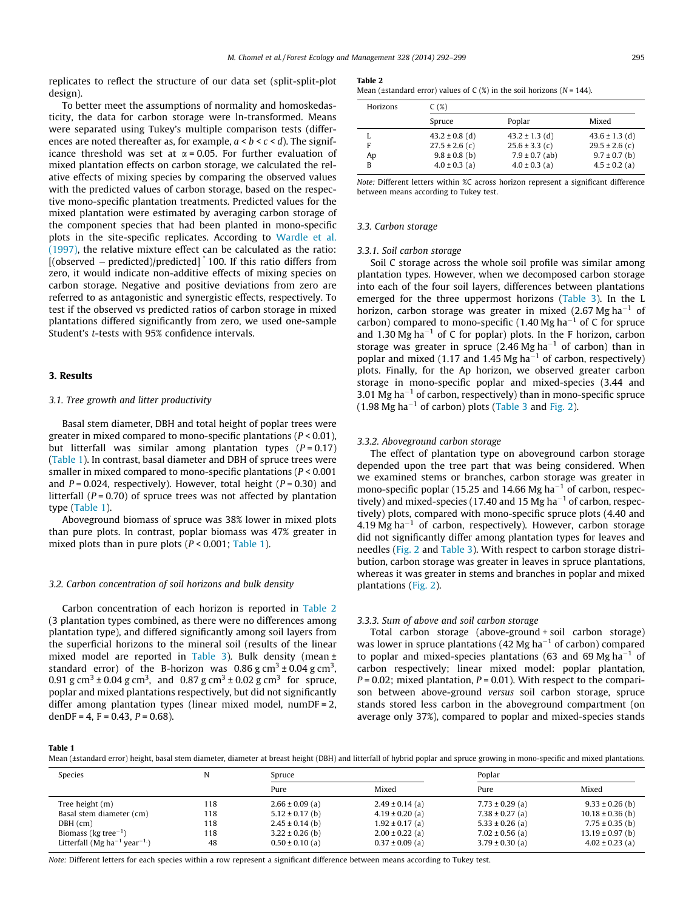replicates to reflect the structure of our data set (split-split-plot design).

To better meet the assumptions of normality and homoskedasticity, the data for carbon storage were ln-transformed. Means were separated using Tukey's multiple comparison tests (differences are noted thereafter as, for example,  $a < b < c < d$ ). The significance threshold was set at  $\alpha$  = 0.05. For further evaluation of mixed plantation effects on carbon storage, we calculated the relative effects of mixing species by comparing the observed values with the predicted values of carbon storage, based on the respective mono-specific plantation treatments. Predicted values for the mixed plantation were estimated by averaging carbon storage of the component species that had been planted in mono-specific plots in the site-specific replicates. According to [Wardle et al.](#page-7-0) [\(1997\),](#page-7-0) the relative mixture effect can be calculated as the ratio: [(observed - predicted)/predicted] \* 100. If this ratio differs from zero, it would indicate non-additive effects of mixing species on carbon storage. Negative and positive deviations from zero are referred to as antagonistic and synergistic effects, respectively. To test if the observed vs predicted ratios of carbon storage in mixed plantations differed significantly from zero, we used one-sample Student's t-tests with 95% confidence intervals.

## 3. Results

## 3.1. Tree growth and litter productivity

Basal stem diameter, DBH and total height of poplar trees were greater in mixed compared to mono-specific plantations ( $P < 0.01$ ), but litterfall was similar among plantation types  $(P = 0.17)$ (Table 1). In contrast, basal diameter and DBH of spruce trees were smaller in mixed compared to mono-specific plantations (P < 0.001 and  $P = 0.024$ , respectively). However, total height ( $P = 0.30$ ) and litterfall ( $P = 0.70$ ) of spruce trees was not affected by plantation type (Table 1).

Aboveground biomass of spruce was 38% lower in mixed plots than pure plots. In contrast, poplar biomass was 47% greater in mixed plots than in pure plots  $(P < 0.001$ ; Table 1).

#### 3.2. Carbon concentration of soil horizons and bulk density

Carbon concentration of each horizon is reported in Table 2 (3 plantation types combined, as there were no differences among plantation type), and differed significantly among soil layers from the superficial horizons to the mineral soil (results of the linear mixed model are reported in [Table 3\)](#page-4-0). Bulk density (mean ± standard error) of the B-horizon was  $0.86$  g cm<sup>3</sup>  $\pm$  0.04 g cm<sup>3</sup>, 0.91 g cm<sup>3</sup>  $\pm$  0.04 g cm<sup>3</sup>, and 0.87 g cm<sup>3</sup>  $\pm$  0.02 g cm<sup>3</sup> for spruce, poplar and mixed plantations respectively, but did not significantly differ among plantation types (linear mixed model, numDF = 2, denDF = 4, F = 0.43,  $P = 0.68$ ).

| . .<br>$\sim$ |  |
|---------------|--|
|               |  |

| Mean (±standard error) values of $C$ (%) in the soil horizons ( $N = 144$ ). |  |  |  |  |  |  |
|------------------------------------------------------------------------------|--|--|--|--|--|--|
|                                                                              |  |  |  |  |  |  |

| Horizons | C(%)               |                    |                    |  |  |  |  |  |
|----------|--------------------|--------------------|--------------------|--|--|--|--|--|
|          | Spruce             | Poplar             | Mixed              |  |  |  |  |  |
|          | $43.2 \pm 0.8$ (d) | $43.2 \pm 1.3$ (d) | $43.6 \pm 1.3$ (d) |  |  |  |  |  |
| F        | $27.5 \pm 2.6$ (c) | $25.6 \pm 3.3$ (c) | $29.5 \pm 2.6$ (c) |  |  |  |  |  |
| Ap       | $9.8 \pm 0.8$ (b)  | $7.9 \pm 0.7$ (ab) | $9.7 \pm 0.7$ (b)  |  |  |  |  |  |
| В        | $4.0 \pm 0.3$ (a)  | $4.0 \pm 0.3$ (a)  | $4.5 \pm 0.2$ (a)  |  |  |  |  |  |
|          |                    |                    |                    |  |  |  |  |  |

Note: Different letters within %C across horizon represent a significant difference between means according to Tukey test.

## 3.3. Carbon storage

## 3.3.1. Soil carbon storage

Soil C storage across the whole soil profile was similar among plantation types. However, when we decomposed carbon storage into each of the four soil layers, differences between plantations emerged for the three uppermost horizons ([Table 3](#page-4-0)). In the L horizon, carbon storage was greater in mixed (2.67 Mg ha<sup>-1</sup> of carbon) compared to mono-specific (1.40 Mg ha<sup>-1</sup> of C for spruce and 1.30 Mg ha<sup> $-1$ </sup> of C for poplar) plots. In the F horizon, carbon storage was greater in spruce  $(2.46 \text{ Mg ha}^{-1}$  of carbon) than in poplar and mixed (1.17 and 1.45 Mg ha<sup> $-1$ </sup> of carbon, respectively) plots. Finally, for the Ap horizon, we observed greater carbon storage in mono-specific poplar and mixed-species (3.44 and 3.01 Mg ha $^{-1}$  of carbon, respectively) than in mono-specific spruce  $(1.98 \text{ Mg ha}^{-1}$  of carbon) plots ([Table 3](#page-4-0) and [Fig. 2](#page-4-0)).

#### 3.3.2. Aboveground carbon storage

The effect of plantation type on aboveground carbon storage depended upon the tree part that was being considered. When we examined stems or branches, carbon storage was greater in mono-specific poplar (15.25 and 14.66 Mg ha<sup> $-1$ </sup> of carbon, respectively) and mixed-species (17.40 and 15 Mg ha $^{-1}$  of carbon, respectively) plots, compared with mono-specific spruce plots (4.40 and  $4.19$  Mg ha<sup> $-1$ </sup> of carbon, respectively). However, carbon storage did not significantly differ among plantation types for leaves and needles ([Fig. 2](#page-4-0) and [Table 3](#page-4-0)). With respect to carbon storage distribution, carbon storage was greater in leaves in spruce plantations, whereas it was greater in stems and branches in poplar and mixed plantations ([Fig. 2](#page-4-0)).

## 3.3.3. Sum of above and soil carbon storage

Total carbon storage (above-ground + soil carbon storage) was lower in spruce plantations (42 Mg ha<sup> $-1$ </sup> of carbon) compared to poplar and mixed-species plantations (63 and 69 Mg ha<sup>-1</sup> of carbon respectively; linear mixed model: poplar plantation,  $P = 0.02$ ; mixed plantation,  $P = 0.01$ ). With respect to the comparison between above-ground versus soil carbon storage, spruce stands stored less carbon in the aboveground compartment (on average only 37%), compared to poplar and mixed-species stands

#### Table 1

|  |  |  |  |  |  |  | Mean (±standard error) height, basal stem diameter, diameter at breast height (DBH) and litterfall of hybrid poplar and spruce growing in mono-specific and mixed plantations. |
|--|--|--|--|--|--|--|--------------------------------------------------------------------------------------------------------------------------------------------------------------------------------|
|--|--|--|--|--|--|--|--------------------------------------------------------------------------------------------------------------------------------------------------------------------------------|

| Species                                              | N   | Spruce              |                     |                     | Poplar               |  |  |
|------------------------------------------------------|-----|---------------------|---------------------|---------------------|----------------------|--|--|
|                                                      |     | Pure                | Mixed               | Pure                | Mixed                |  |  |
| Tree height (m)                                      | 118 | $2.66 \pm 0.09$ (a) | $2.49 \pm 0.14$ (a) | $7.73 \pm 0.29$ (a) | $9.33 \pm 0.26$ (b)  |  |  |
| Basal stem diameter (cm)                             | 118 | $5.12 \pm 0.17$ (b) | $4.19 \pm 0.20$ (a) | $7.38 \pm 0.27$ (a) | $10.18 \pm 0.36$ (b) |  |  |
| $DBH$ (cm)                                           | 118 | $2.45 \pm 0.14$ (b) | $1.92 \pm 0.17$ (a) | $5.33 \pm 0.26$ (a) | $7.75 \pm 0.35$ (b)  |  |  |
| Biomass ( $kg$ tree <sup>-1</sup> )                  | 118 | $3.22 \pm 0.26$ (b) | $2.00 \pm 0.22$ (a) | $7.02 \pm 0.56$ (a) | $13.19 \pm 0.97$ (b) |  |  |
| Litterfall (Mg ha <sup>-1</sup> year <sup>-1</sup> ) | 48  | $0.50 \pm 0.10$ (a) | $0.37 \pm 0.09$ (a) | $3.79 \pm 0.30$ (a) | $4.02 \pm 0.23$ (a)  |  |  |

Note: Different letters for each species within a row represent a significant difference between means according to Tukey test.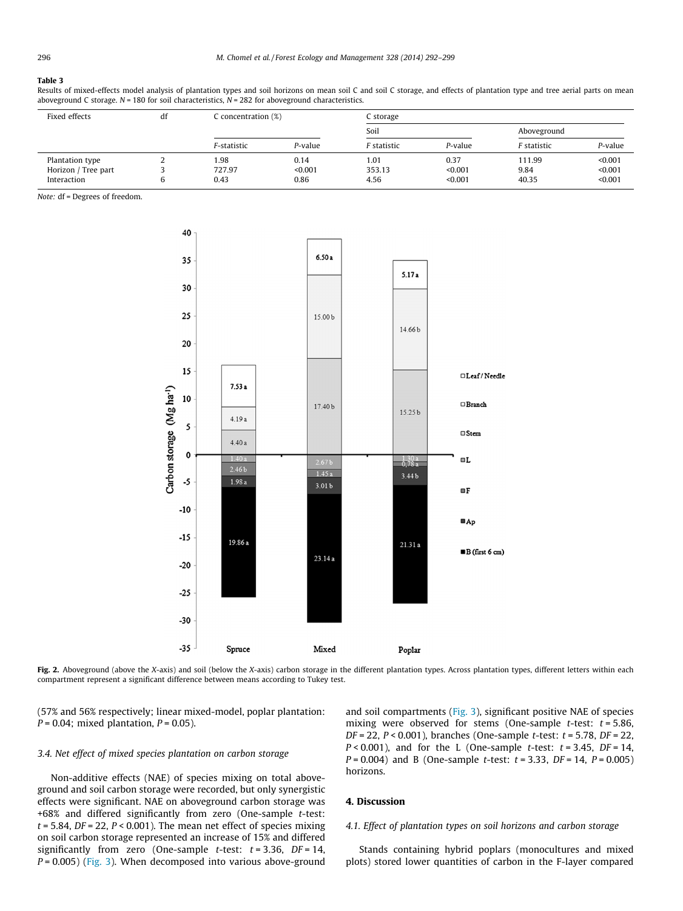#### <span id="page-4-0"></span>Table 3

Results of mixed-effects model analysis of plantation types and soil horizons on mean soil C and soil C storage, and effects of plantation type and tree aerial parts on mean aboveground C storage.  $N = 180$  for soil characteristics,  $N = 282$  for aboveground characteristics.

| Fixed effects       | df |             | C concentration (%) |             | C storage |             |         |  |  |
|---------------------|----|-------------|---------------------|-------------|-----------|-------------|---------|--|--|
|                     |    |             |                     | Soil        |           | Aboveground |         |  |  |
|                     |    | F-statistic | P-value             | F statistic | P-value   | F statistic | P-value |  |  |
| Plantation type     |    | 1.98        | 0.14                | 1.01        | 0.37      | 111.99      | < 0.001 |  |  |
| Horizon / Tree part |    | 727.97      | < 0.001             | 353.13      | < 0.001   | 9.84        | < 0.001 |  |  |
| Interaction         | 6  | 0.43        | 0.86                | 4.56        | < 0.001   | 40.35       | < 0.001 |  |  |

Note: df = Degrees of freedom.



Fig. 2. Aboveground (above the X-axis) and soil (below the X-axis) carbon storage in the different plantation types. Across plantation types, different letters within each compartment represent a significant difference between means according to Tukey test.

(57% and 56% respectively; linear mixed-model, poplar plantation:  $P = 0.04$ ; mixed plantation,  $P = 0.05$ ).

#### 3.4. Net effect of mixed species plantation on carbon storage

Non-additive effects (NAE) of species mixing on total aboveground and soil carbon storage were recorded, but only synergistic effects were significant. NAE on aboveground carbon storage was +68% and differed significantly from zero (One-sample t-test:  $t = 5.84$ ,  $DF = 22$ ,  $P < 0.001$ ). The mean net effect of species mixing on soil carbon storage represented an increase of 15% and differed significantly from zero (One-sample t-test:  $t = 3.36$ , DF = 14,  $P = 0.005$ ) ([Fig. 3\)](#page-5-0). When decomposed into various above-ground

and soil compartments ([Fig. 3](#page-5-0)), significant positive NAE of species mixing were observed for stems (One-sample t-test:  $t = 5.86$ ,  $DF = 22$ ,  $P < 0.001$ ), branches (One-sample t-test:  $t = 5.78$ ,  $DF = 22$ ,  $P < 0.001$ ), and for the L (One-sample t-test:  $t = 3.45$ , DF = 14,  $P = 0.004$ ) and B (One-sample *t*-test:  $t = 3.33$ ,  $DF = 14$ ,  $P = 0.005$ ) horizons.

## 4. Discussion

## 4.1. Effect of plantation types on soil horizons and carbon storage

Stands containing hybrid poplars (monocultures and mixed plots) stored lower quantities of carbon in the F-layer compared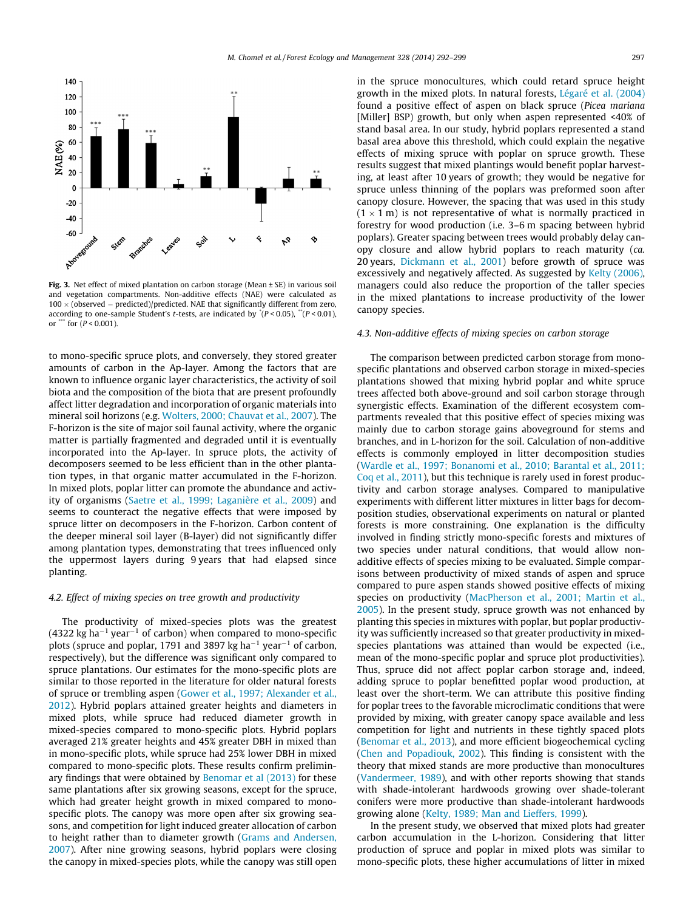<span id="page-5-0"></span>

Fig. 3. Net effect of mixed plantation on carbon storage (Mean ± SE) in various soil and vegetation compartments. Non-additive effects (NAE) were calculated as  $100 \times$  (observed  $-$  predicted)/predicted. NAE that significantly different from zero, according to one-sample Student's t-tests, are indicated by  $(P < 0.05)$ ,  $( P < 0.01)$ , for  $(P < 0.001)$ .

to mono-specific spruce plots, and conversely, they stored greater amounts of carbon in the Ap-layer. Among the factors that are known to influence organic layer characteristics, the activity of soil biota and the composition of the biota that are present profoundly affect litter degradation and incorporation of organic materials into mineral soil horizons (e.g. [Wolters, 2000; Chauvat et al., 2007\)](#page-7-0). The F-horizon is the site of major soil faunal activity, where the organic matter is partially fragmented and degraded until it is eventually incorporated into the Ap-layer. In spruce plots, the activity of decomposers seemed to be less efficient than in the other plantation types, in that organic matter accumulated in the F-horizon. In mixed plots, poplar litter can promote the abundance and activity of organisms [\(Saetre et al., 1999; Laganière et al., 2009](#page-7-0)) and seems to counteract the negative effects that were imposed by spruce litter on decomposers in the F-horizon. Carbon content of the deeper mineral soil layer (B-layer) did not significantly differ among plantation types, demonstrating that trees influenced only the uppermost layers during 9 years that had elapsed since planting.

## 4.2. Effect of mixing species on tree growth and productivity

The productivity of mixed-species plots was the greatest (4322 kg ha $^{-1}$  year $^{-1}$  of carbon) when compared to mono-specific plots (spruce and poplar, 1791 and 3897 kg ha $^{-1}$  year $^{-1}$  of carbon, respectively), but the difference was significant only compared to spruce plantations. Our estimates for the mono-specific plots are similar to those reported in the literature for older natural forests of spruce or trembling aspen ([Gower et al., 1997; Alexander et al.,](#page-6-0) [2012\)](#page-6-0). Hybrid poplars attained greater heights and diameters in mixed plots, while spruce had reduced diameter growth in mixed-species compared to mono-specific plots. Hybrid poplars averaged 21% greater heights and 45% greater DBH in mixed than in mono-specific plots, while spruce had 25% lower DBH in mixed compared to mono-specific plots. These results confirm preliminary findings that were obtained by [Benomar et al \(2013\)](#page-6-0) for these same plantations after six growing seasons, except for the spruce, which had greater height growth in mixed compared to monospecific plots. The canopy was more open after six growing seasons, and competition for light induced greater allocation of carbon to height rather than to diameter growth ([Grams and Andersen,](#page-6-0) [2007](#page-6-0)). After nine growing seasons, hybrid poplars were closing the canopy in mixed-species plots, while the canopy was still open in the spruce monocultures, which could retard spruce height growth in the mixed plots. In natural forests, [Légaré et al. \(2004\)](#page-7-0) found a positive effect of aspen on black spruce (Picea mariana [Miller] BSP) growth, but only when aspen represented <40% of stand basal area. In our study, hybrid poplars represented a stand basal area above this threshold, which could explain the negative effects of mixing spruce with poplar on spruce growth. These results suggest that mixed plantings would benefit poplar harvesting, at least after 10 years of growth; they would be negative for spruce unless thinning of the poplars was preformed soon after canopy closure. However, the spacing that was used in this study  $(1 \times 1$  m) is not representative of what is normally practiced in forestry for wood production (i.e. 3–6 m spacing between hybrid poplars). Greater spacing between trees would probably delay canopy closure and allow hybrid poplars to reach maturity (ca. 20 years, [Dickmann et al., 2001](#page-6-0)) before growth of spruce was excessively and negatively affected. As suggested by [Kelty \(2006\),](#page-6-0) managers could also reduce the proportion of the taller species in the mixed plantations to increase productivity of the lower canopy species.

#### 4.3. Non-additive effects of mixing species on carbon storage

The comparison between predicted carbon storage from monospecific plantations and observed carbon storage in mixed-species plantations showed that mixing hybrid poplar and white spruce trees affected both above-ground and soil carbon storage through synergistic effects. Examination of the different ecosystem compartments revealed that this positive effect of species mixing was mainly due to carbon storage gains aboveground for stems and branches, and in L-horizon for the soil. Calculation of non-additive effects is commonly employed in litter decomposition studies ([Wardle et al., 1997; Bonanomi et al., 2010; Barantal et al., 2011;](#page-7-0) [Coq et al., 2011](#page-7-0)), but this technique is rarely used in forest productivity and carbon storage analyses. Compared to manipulative experiments with different litter mixtures in litter bags for decomposition studies, observational experiments on natural or planted forests is more constraining. One explanation is the difficulty involved in finding strictly mono-specific forests and mixtures of two species under natural conditions, that would allow nonadditive effects of species mixing to be evaluated. Simple comparisons between productivity of mixed stands of aspen and spruce compared to pure aspen stands showed positive effects of mixing species on productivity [\(MacPherson et al., 2001; Martin et al.,](#page-7-0) [2005](#page-7-0)). In the present study, spruce growth was not enhanced by planting this species in mixtures with poplar, but poplar productivity was sufficiently increased so that greater productivity in mixedspecies plantations was attained than would be expected (i.e., mean of the mono-specific poplar and spruce plot productivities). Thus, spruce did not affect poplar carbon storage and, indeed, adding spruce to poplar benefitted poplar wood production, at least over the short-term. We can attribute this positive finding for poplar trees to the favorable microclimatic conditions that were provided by mixing, with greater canopy space available and less competition for light and nutrients in these tightly spaced plots ([Benomar et al., 2013\)](#page-6-0), and more efficient biogeochemical cycling ([Chen and Popadiouk, 2002](#page-6-0)). This finding is consistent with the theory that mixed stands are more productive than monocultures ([Vandermeer, 1989](#page-7-0)), and with other reports showing that stands with shade-intolerant hardwoods growing over shade-tolerant conifers were more productive than shade-intolerant hardwoods growing alone ([Kelty, 1989; Man and Lieffers, 1999\)](#page-6-0).

In the present study, we observed that mixed plots had greater carbon accumulation in the L-horizon. Considering that litter production of spruce and poplar in mixed plots was similar to mono-specific plots, these higher accumulations of litter in mixed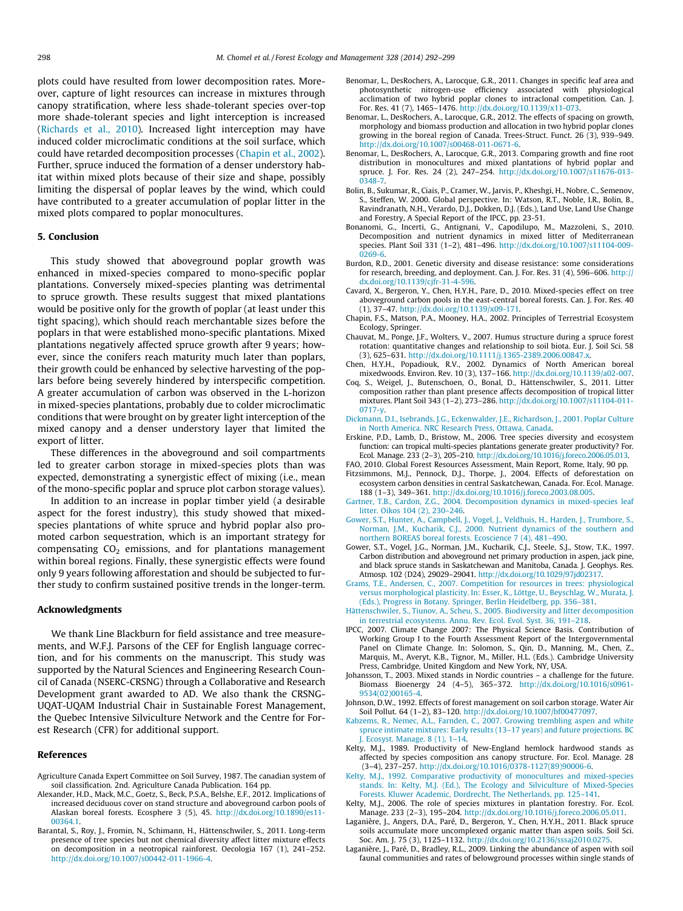<span id="page-6-0"></span>plots could have resulted from lower decomposition rates. Moreover, capture of light resources can increase in mixtures through canopy stratification, where less shade-tolerant species over-top more shade-tolerant species and light interception is increased ([Richards et al., 2010](#page-7-0)). Increased light interception may have induced colder microclimatic conditions at the soil surface, which could have retarded decomposition processes (Chapin et al., 2002). Further, spruce induced the formation of a denser understory habitat within mixed plots because of their size and shape, possibly limiting the dispersal of poplar leaves by the wind, which could have contributed to a greater accumulation of poplar litter in the mixed plots compared to poplar monocultures.

## 5. Conclusion

This study showed that aboveground poplar growth was enhanced in mixed-species compared to mono-specific poplar plantations. Conversely mixed-species planting was detrimental to spruce growth. These results suggest that mixed plantations would be positive only for the growth of poplar (at least under this tight spacing), which should reach merchantable sizes before the poplars in that were established mono-specific plantations. Mixed plantations negatively affected spruce growth after 9 years; however, since the conifers reach maturity much later than poplars, their growth could be enhanced by selective harvesting of the poplars before being severely hindered by interspecific competition. A greater accumulation of carbon was observed in the L-horizon in mixed-species plantations, probably due to colder microclimatic conditions that were brought on by greater light interception of the mixed canopy and a denser understory layer that limited the export of litter.

These differences in the aboveground and soil compartments led to greater carbon storage in mixed-species plots than was expected, demonstrating a synergistic effect of mixing (i.e., mean of the mono-specific poplar and spruce plot carbon storage values).

In addition to an increase in poplar timber yield (a desirable aspect for the forest industry), this study showed that mixedspecies plantations of white spruce and hybrid poplar also promoted carbon sequestration, which is an important strategy for compensating  $CO<sub>2</sub>$  emissions, and for plantations management within boreal regions. Finally, these synergistic effects were found only 9 years following afforestation and should be subjected to further study to confirm sustained positive trends in the longer-term.

## Acknowledgments

We thank Line Blackburn for field assistance and tree measurements, and W.F.J. Parsons of the CEF for English language correction, and for his comments on the manuscript. This study was supported by the Natural Sciences and Engineering Research Council of Canada (NSERC-CRSNG) through a Collaborative and Research Development grant awarded to AD. We also thank the CRSNG-UQAT-UQAM Industrial Chair in Sustainable Forest Management, the Quebec Intensive Silviculture Network and the Centre for Forest Research (CFR) for additional support.

#### References

- Agriculture Canada Expert Committee on Soil Survey, 1987. The canadian system of soil classification. 2nd. Agriculture Canada Publication. 164 pp.
- Alexander, H.D., Mack, M.C., Goetz, S., Beck, P.S.A., Belshe, E.F., 2012. Implications of increased deciduous cover on stand structure and aboveground carbon pools of Alaskan boreal forests. Ecosphere 3 (5), 45. [http://dx.doi.org/10.1890/es11-](http://dx.doi.org/10.1890/es11-00364.1) [00364.1.](http://dx.doi.org/10.1890/es11-00364.1)
- Barantal, S., Roy, J., Fromin, N., Schimann, H., Hättenschwiler, S., 2011. Long-term presence of tree species but not chemical diversity affect litter mixture effects on decomposition in a neotropical rainforest. Oecologia 167 (1), 241–252. [http://dx.doi.org/10.1007/s00442-011-1966-4.](http://dx.doi.org/10.1007/s00442-011-1966-4)
- Benomar, L., DesRochers, A., Larocque, G.R., 2011. Changes in specific leaf area and photosynthetic nitrogen-use efficiency associated with physiological acclimation of two hybrid poplar clones to intraclonal competition. Can. J. For. Res. 41 (7), 1465–1476. <http://dx.doi.org/10.1139/x11-073>.
- Benomar, L., DesRochers, A., Larocque, G.R., 2012. The effects of spacing on growth, morphology and biomass production and allocation in two hybrid poplar clones growing in the boreal region of Canada. Trees-Struct. Funct. 26 (3), 939–949. [http://dx.doi.org/10.1007/s00468-011-0671-6.](http://dx.doi.org/10.1007/s00468-011-0671-6)
- Benomar, L., DesRochers, A., Larocque, G.R., 2013. Comparing growth and fine root distribution in monocultures and mixed plantations of hybrid poplar and spruce. J. For. Res. 24 (2), 247–254. [http://dx.doi.org/10.1007/s11676-013-](http://dx.doi.org/10.1007/s11676-013-0348-7) [0348-7](http://dx.doi.org/10.1007/s11676-013-0348-7).
- Bolin, B., Sukumar, R., Ciais, P., Cramer, W., Jarvis, P., Kheshgi, H., Nobre, C., Semenov, S., Steffen, W. 2000. Global perspective. In: Watson, R.T., Noble, I.R., Bolin, B., Ravindranath, N.H., Verardo, D.J., Dokken, D.J. (Eds.), Land Use, Land Use Change and Forestry, A Special Report of the IPCC, pp. 23-51.
- Bonanomi, G., Incerti, G., Antignani, V., Capodilupo, M., Mazzoleni, S., 2010. Decomposition and nutrient dynamics in mixed litter of Mediterranean species. Plant Soil 331 (1–2), 481–496. [http://dx.doi.org/10.1007/s11104-009-](http://dx.doi.org/10.1007/s11104-009-0269-6) [0269-6](http://dx.doi.org/10.1007/s11104-009-0269-6).
- Burdon, R.D., 2001. Genetic diversity and disease resistance: some considerations for research, breeding, and deployment. Can. J. For. Res. 31 (4), 596–606. [http://](http://dx.doi.org/10.1139/cjfr-31-4-596) [dx.doi.org/10.1139/cjfr-31-4-596.](http://dx.doi.org/10.1139/cjfr-31-4-596)
- Cavard, X., Bergeron, Y., Chen, H.Y.H., Pare, D., 2010. Mixed-species effect on tree aboveground carbon pools in the east-central boreal forests. Can. J. For. Res. 40 (1), 37–47. [http://dx.doi.org/10.1139/x09-171.](http://dx.doi.org/10.1139/x09-171)
- Chapin, F.S., Matson, P.A., Mooney, H.A., 2002. Principles of Terrestrial Ecosystem Ecology, Springer.
- Chauvat, M., Ponge, J.F., Wolters, V., 2007. Humus structure during a spruce forest rotation: quantitative changes and relationship to soil biota. Eur. J. Soil Sci. 58 (3),  $625-631.$  <http://dx.doi.org/10.1111/j.1365-2389.2006.00847.x>.<br>Chen, H.Y.H., Popadiouk, R.V., 2002. Dynamics of North Amer
- 2002. Dynamics of North American boreal mixedwoods. Environ. Rev. 10 (3), 137–166. <http://dx.doi.org/10.1139/a02-007>.
- Coq, S., Weigel, J., Butenschoen, O., Bonal, D., Hättenschwiler, S., 2011. Litter composition rather than plant presence affects decomposition of tropical litter mixtures. Plant Soil 343 (1–2), 273–286. [http://dx.doi.org/10.1007/s11104-011-](http://dx.doi.org/10.1007/s11104-011-0717-y) [0717-y](http://dx.doi.org/10.1007/s11104-011-0717-y).
- [Dickmann, D.I., Isebrands, J.G., Eckenwalder, J.E., Richardson, J., 2001. Poplar Culture](http://refhub.elsevier.com/S0378-1127(14)00354-5/h0075) [in North America. NRC Research Press, Ottawa, Canada.](http://refhub.elsevier.com/S0378-1127(14)00354-5/h0075)
- Erskine, P.D., Lamb, D., Bristow, M., 2006. Tree species diversity and ecosystem function: can tropical multi-species plantations generate greater productivity? For. Ecol. Manage. 233 (2–3), 205–210. [http://dx.doi.org/10.1016/j.foreco.2006.05.013.](http://dx.doi.org/10.1016/j.foreco.2006.05.013)
- FAO, 2010. Global Forest Resources Assessment, Main Report, Rome, Italy, 90 pp. Fitzsimmons, M.J., Pennock, D.J., Thorpe, J., 2004. Effects of deforestation on
- ecosystem carbon densities in central Saskatchewan, Canada. For. Ecol. Manage. 188 (1–3), 349–361. <http://dx.doi.org/10.1016/j.foreco.2003.08.005>. [Gartner, T.B., Cardon, Z.G., 2004. Decomposition dynamics in mixed-species leaf](http://refhub.elsevier.com/S0378-1127(14)00354-5/h0100)
- [litter. Oikos 104 \(2\), 230–246.](http://refhub.elsevier.com/S0378-1127(14)00354-5/h0100)
- [Gower, S.T., Hunter, A., Campbell, J., Vogel, J., Veldhuis, H., Harden, J., Trumbore, S.,](http://refhub.elsevier.com/S0378-1127(14)00354-5/h0105) [Norman, J.M., Kucharik, C.J., 2000. Nutrient dynamics of the southern and](http://refhub.elsevier.com/S0378-1127(14)00354-5/h0105) [northern BOREAS boreal forests. Ecoscience 7 \(4\), 481–490](http://refhub.elsevier.com/S0378-1127(14)00354-5/h0105).
- Gower, S.T., Vogel, J.G., Norman, J.M., Kucharik, C.J., Steele, S.J., Stow, T.K., 1997. Carbon distribution and aboveground net primary production in aspen, jack pine, and black spruce stands in Saskatchewan and Manitoba, Canada. J. Geophys. Res. Atmosp. 102 (D24), 29029–29041. [http://dx.doi.org/10.1029/97jd02317.](http://dx.doi.org/10.1029/97jd02317)
- [Grams, T.E., Andersen, C., 2007. Competition for resources in trees: physiological](http://refhub.elsevier.com/S0378-1127(14)00354-5/h0115) [versus morphological plasticity. In: Esser, K., Löttge, U., Beyschlag, W., Murata, J.](http://refhub.elsevier.com/S0378-1127(14)00354-5/h0115) [\(Eds.\), Progress in Botany. Springer, Berlin Heidelberg, pp. 356–381.](http://refhub.elsevier.com/S0378-1127(14)00354-5/h0115)
- [Hättenschwiler, S., Tiunov, A., Scheu, S., 2005. Biodiversity and litter decomposition](http://refhub.elsevier.com/S0378-1127(14)00354-5/h0120) [in terrestrial ecosystems. Annu. Rev. Ecol. Evol. Syst. 36, 191–218](http://refhub.elsevier.com/S0378-1127(14)00354-5/h0120).
- IPCC, 2007. Climate Change 2007: The Physical Science Basis. Contribution of Working Group I to the Fourth Assessment Report of the Intergovernmental Panel on Climate Change. In: Solomon, S., Qin, D., Manning, M., Chen, Z., Marquis, M., Averyt, K.B., Tignor, M., Miller, H.L. (Eds.). Cambridge University Press, Cambridge, United Kingdom and New York, NY, USA.
- Johansson, T., 2003. Mixed stands in Nordic countries a challenge for the future. Biomass Bioenergy 24 (4–5), 365–372. [http://dx.doi.org/10.1016/s0961-](http://dx.doi.org/10.1016/s0961-9534(02)00165-4) [9534\(02\)00165-4.](http://dx.doi.org/10.1016/s0961-9534(02)00165-4)
- Johnson, D.W., 1992. Effects of forest management on soil carbon storage. Water Air Soil Pollut. 64 (1–2), 83–120. <http://dx.doi.org/10.1007/bf00477097>.
- [Kabzems, R., Nemec, A.L., Farnden, C., 2007. Growing trembling aspen and white](http://refhub.elsevier.com/S0378-1127(14)00354-5/h0140) [spruce intimate mixtures: Early results \(13–17 years\) and future projections. BC](http://refhub.elsevier.com/S0378-1127(14)00354-5/h0140) [J. Ecosyst. Manage. 8 \(1\), 1–14.](http://refhub.elsevier.com/S0378-1127(14)00354-5/h0140)
- Kelty, M.J., 1989. Productivity of New-England hemlock hardwood stands as affected by species composition ans canopy structure. For. Ecol. Manage. 28 (3–4), 237–257. [http://dx.doi.org/10.1016/0378-1127\(89\)90006-6.](http://dx.doi.org/10.1016/0378-1127(89)90006-6)
- [Kelty, M.J., 1992. Comparative productivity of monocultures and mixed-species](http://refhub.elsevier.com/S0378-1127(14)00354-5/h0150) [stands. In: Kelty, M.J. \(Ed.\), The Ecology and Silviculture of Mixed-Species](http://refhub.elsevier.com/S0378-1127(14)00354-5/h0150) [Forests. Kluwer Academic, Dordrecht, The Netherlands, pp. 125–141.](http://refhub.elsevier.com/S0378-1127(14)00354-5/h0150)
- Kelty, M.J., 2006. The role of species mixtures in plantation forestry. For. Ecol. Manage. 233 (2–3), 195–204. [http://dx.doi.org/10.1016/j.foreco.2006.05.011.](http://dx.doi.org/10.1016/j.foreco.2006.05.011)
- Laganière, J., Angers, D.A., Paré, D., Bergeron, Y., Chen, H.Y.H., 2011. Black spruce soils accumulate more uncomplexed organic matter than aspen soils. Soil Sci. Soc. Am. J. 75 (3), 1125–1132. <http://dx.doi.org/10.2136/sssaj2010.0275>.
- Laganière, J., Paré, D., Bradley, R.L., 2009. Linking the abundance of aspen with soil faunal communities and rates of belowground processes within single stands of